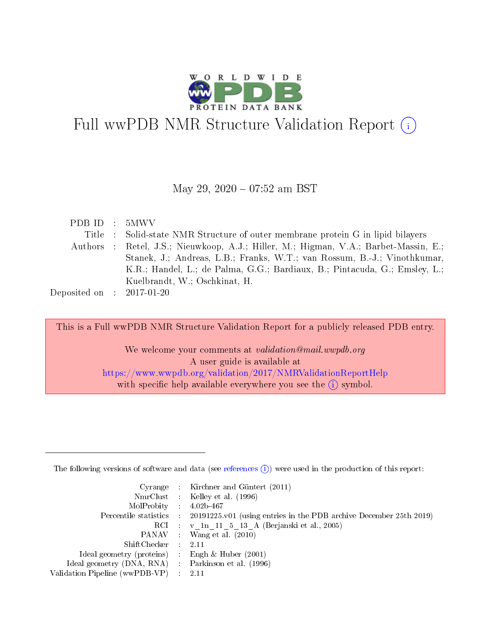

# Full wwPDB NMR Structure Validation Report (i)

## May 29, 2020 - 07:52 am BST

| PDB ID : 5MWV               |                                                                                      |
|-----------------------------|--------------------------------------------------------------------------------------|
|                             | Title : Solid-state NMR Structure of outer membrane protein G in lipid bilayers      |
|                             | Authors : Retel, J.S.; Nieuwkoop, A.J.; Hiller, M.; Higman, V.A.; Barbet-Massin, E.; |
|                             | Stanek, J.; Andreas, L.B.; Franks, W.T.; van Rossum, B.-J.; Vinothkumar,             |
|                             | K.R.; Handel, L.; de Palma, G.G.; Bardiaux, B.; Pintacuda, G.; Emsley, L.;           |
|                             | Kuelbrandt, W.; Oschkinat, H.                                                        |
| Deposited on : $2017-01-20$ |                                                                                      |

This is a Full wwPDB NMR Structure Validation Report for a publicly released PDB entry.

We welcome your comments at validation@mail.wwpdb.org A user guide is available at <https://www.wwpdb.org/validation/2017/NMRValidationReportHelp> with specific help available everywhere you see the  $(i)$  symbol.

The following versions of software and data (see [references](https://www.wwpdb.org/validation/2017/NMRValidationReportHelp#references)  $(1)$ ) were used in the production of this report:

|                                                    | Cyrange : Kirchner and Güntert $(2011)$                                                    |
|----------------------------------------------------|--------------------------------------------------------------------------------------------|
|                                                    | NmrClust : Kelley et al. (1996)                                                            |
| $MolProbability$ 4.02b-467                         |                                                                                            |
|                                                    | Percentile statistics : 20191225.v01 (using entries in the PDB archive December 25th 2019) |
|                                                    | RCI : v 1n 11 5 13 A (Berjanski et al., 2005)                                              |
|                                                    | PANAV Wang et al. (2010)                                                                   |
| $ShiftChecker$ : 2.11                              |                                                                                            |
| Ideal geometry (proteins) : Engh $\&$ Huber (2001) |                                                                                            |
| Ideal geometry (DNA, RNA) Parkinson et al. (1996)  |                                                                                            |
| Validation Pipeline (wwPDB-VP)                     | 2.11                                                                                       |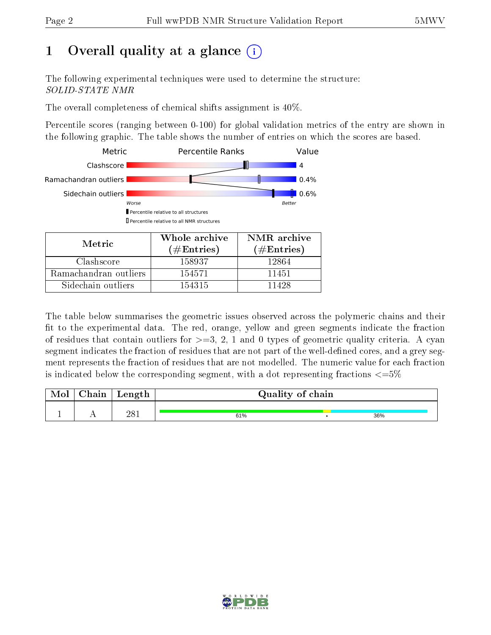# 1 [O](https://www.wwpdb.org/validation/2017/NMRValidationReportHelp#overall_quality)verall quality at a glance (i)

The following experimental techniques were used to determine the structure: SOLID-STATE NMR

The overall completeness of chemical shifts assignment is 40%.

Percentile scores (ranging between 0-100) for global validation metrics of the entry are shown in the following graphic. The table shows the number of entries on which the scores are based.



Sidechain outliers 154315 11428

The table below summarises the geometric issues observed across the polymeric chains and their fit to the experimental data. The red, orange, yellow and green segments indicate the fraction of residues that contain outliers for  $>=3, 2, 1$  and 0 types of geometric quality criteria. A cyan segment indicates the fraction of residues that are not part of the well-defined cores, and a grey segment represents the fraction of residues that are not modelled. The numeric value for each fraction is indicated below the corresponding segment, with a dot representing fractions  $\epsilon = 5\%$ 

| Chain | Length | Quality of chain |  |     |  |  |
|-------|--------|------------------|--|-----|--|--|
|       | 281    | 61%              |  | 36% |  |  |

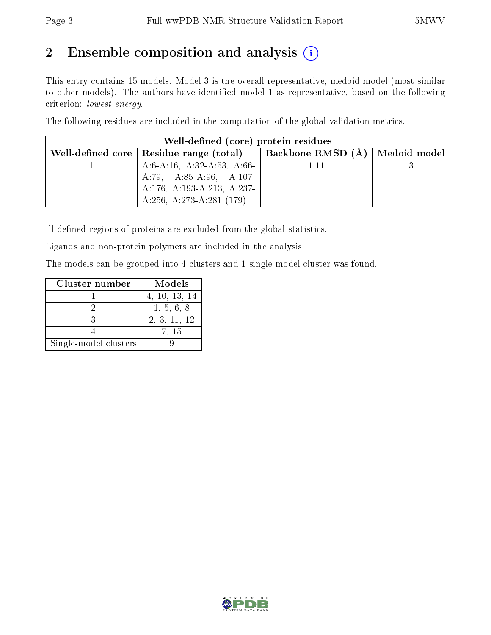# 2 Ensemble composition and analysis  $(i)$

This entry contains 15 models. Model 3 is the overall representative, medoid model (most similar to other models). The authors have identified model 1 as representative, based on the following criterion: lowest energy.

The following residues are included in the computation of the global validation metrics.

| Well-defined (core) protein residues |                                           |                   |                                      |  |  |  |
|--------------------------------------|-------------------------------------------|-------------------|--------------------------------------|--|--|--|
|                                      | Well-defined core   Residue range (total) | Backbone RMSD (A) | $\parallel$ Medoid model $\parallel$ |  |  |  |
|                                      | A:6-A:16, A:32-A:53, A:66-                | 1.11              |                                      |  |  |  |
|                                      | A:79, A:85-A:96, A:107-                   |                   |                                      |  |  |  |
|                                      | A:176, A:193-A:213, A:237-                |                   |                                      |  |  |  |
|                                      | A:256, A:273-A:281 $(179)$                |                   |                                      |  |  |  |

Ill-defined regions of proteins are excluded from the global statistics.

Ligands and non-protein polymers are included in the analysis.

The models can be grouped into 4 clusters and 1 single-model cluster was found.

| Cluster number        | Models        |
|-----------------------|---------------|
|                       | 4, 10, 13, 14 |
|                       | 1, 5, 6, 8    |
|                       | 2, 3, 11, 12  |
|                       | 7, 15         |
| Single-model clusters |               |

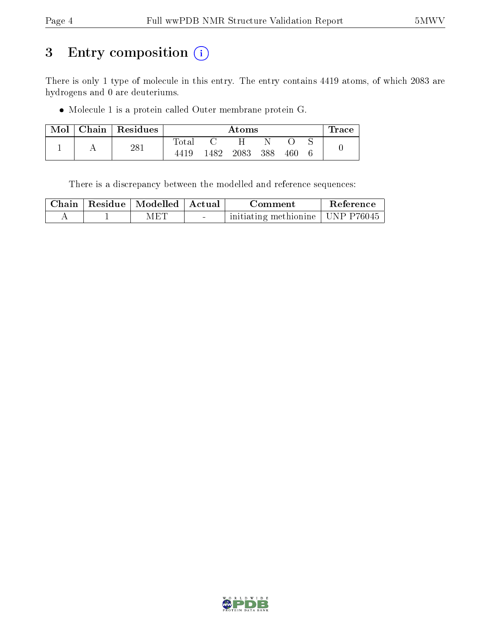# 3 Entry composition (i)

There is only 1 type of molecule in this entry. The entry contains 4419 atoms, of which 2083 are hydrogens and 0 are deuteriums.

Molecule 1 is a protein called Outer membrane protein G.

| Mol | Chain Residues | Atoms       |      |      |     |     | Trace |  |
|-----|----------------|-------------|------|------|-----|-----|-------|--|
|     |                | $\rm Total$ |      |      |     |     |       |  |
|     | $281\,$        | 4419        | 1482 | 2083 | 388 | 460 |       |  |

There is a discrepancy between the modelled and reference sequences:

| Chain | $\left\lVert \cdot \right\rVert$ Residue   Modelled   Actual |        | Comment                            | Reference |  |
|-------|--------------------------------------------------------------|--------|------------------------------------|-----------|--|
|       | -M ET                                                        | $\sim$ | initiating methionine   UNP P76045 |           |  |

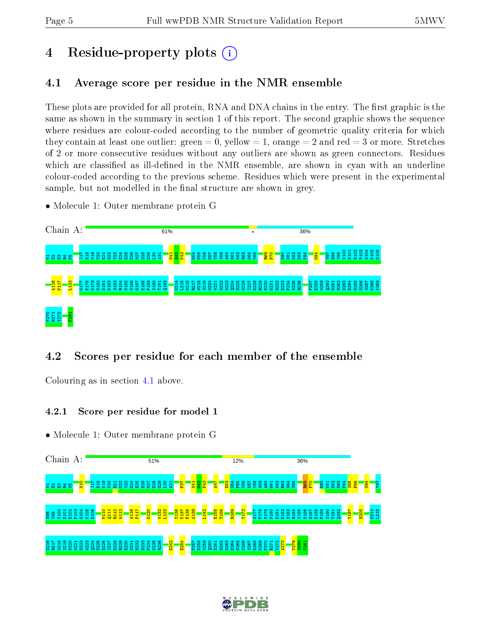# 4 Residue-property plots  $\binom{1}{1}$

## <span id="page-4-0"></span>4.1 Average score per residue in the NMR ensemble

These plots are provided for all protein, RNA and DNA chains in the entry. The first graphic is the same as shown in the summary in section 1 of this report. The second graphic shows the sequence where residues are colour-coded according to the number of geometric quality criteria for which they contain at least one outlier: green  $= 0$ , yellow  $= 1$ , orange  $= 2$  and red  $= 3$  or more. Stretches of 2 or more consecutive residues without any outliers are shown as green connectors. Residues which are classified as ill-defined in the NMR ensemble, are shown in cyan with an underline colour-coded according to the previous scheme. Residues which were present in the experimental sample, but not modelled in the final structure are shown in grey.

• Molecule 1: Outer membrane protein G



## 4.2 Scores per residue for each member of the ensemble

Colouring as in section [4.1](#page-4-0) above.

## 4.2.1 Score per residue for model 1



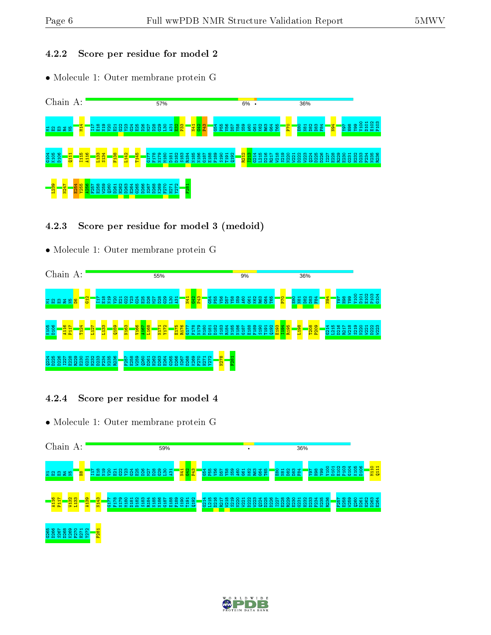#### 4.2.2 Score per residue for model 2

• Molecule 1: Outer membrane protein G



## 4.2.3 Score per residue for model 3 (medoid)

• Molecule 1: Outer membrane protein G



## 4.2.4 Score per residue for model 4



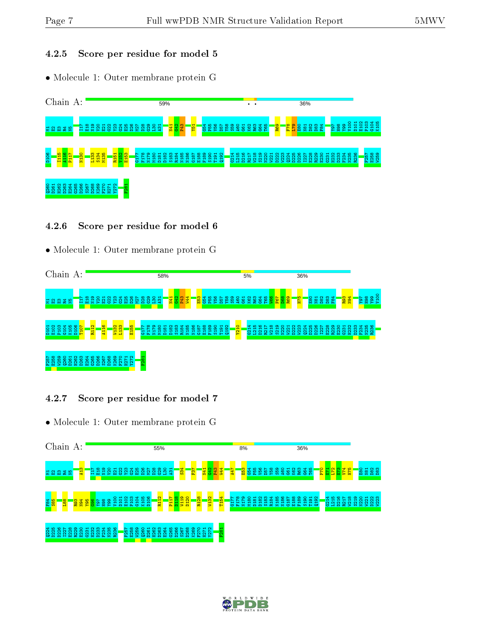#### 4.2.5 Score per residue for model 5

• Molecule 1: Outer membrane protein G



#### 4.2.6 Score per residue for model 6

• Molecule 1: Outer membrane protein G



## 4.2.7 Score per residue for model 7



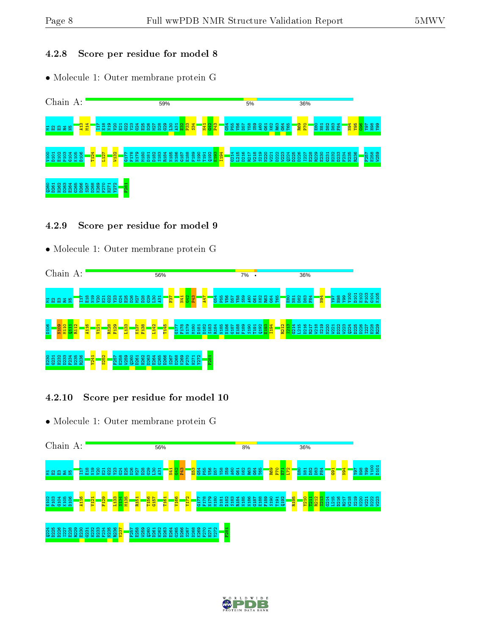#### 4.2.8 Score per residue for model 8

• Molecule 1: Outer membrane protein G



#### 4.2.9 Score per residue for model 9

• Molecule 1: Outer membrane protein G



#### 4.2.10 Score per residue for model 10



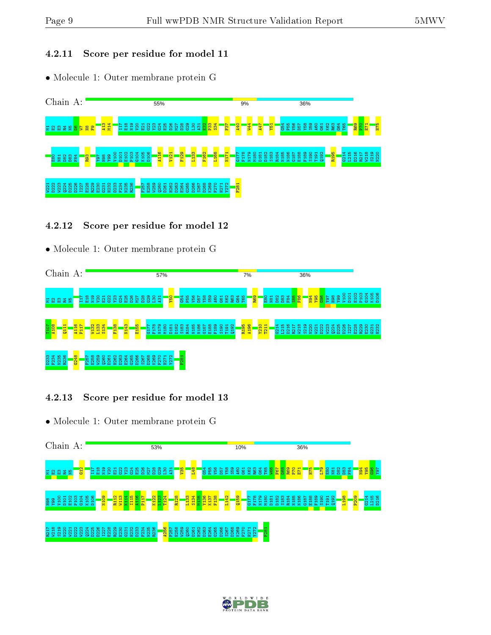#### 4.2.11 Score per residue for model 11

• Molecule 1: Outer membrane protein G



## 4.2.12 Score per residue for model 12

• Molecule 1: Outer membrane protein G



## 4.2.13 Score per residue for model 13



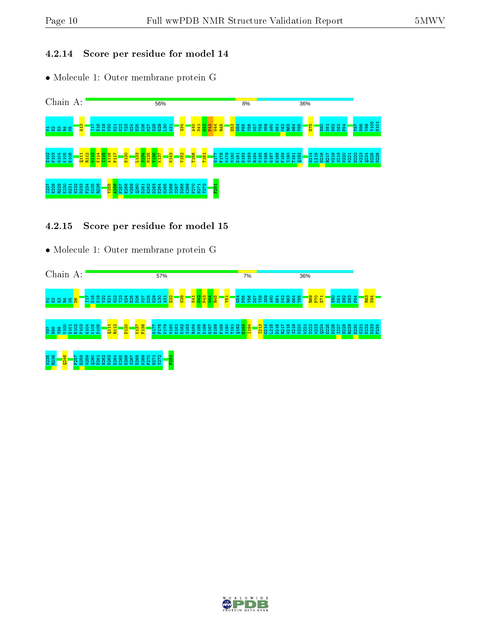#### 4.2.14 Score per residue for model 14

• Molecule 1: Outer membrane protein G



#### 4.2.15 Score per residue for model 15



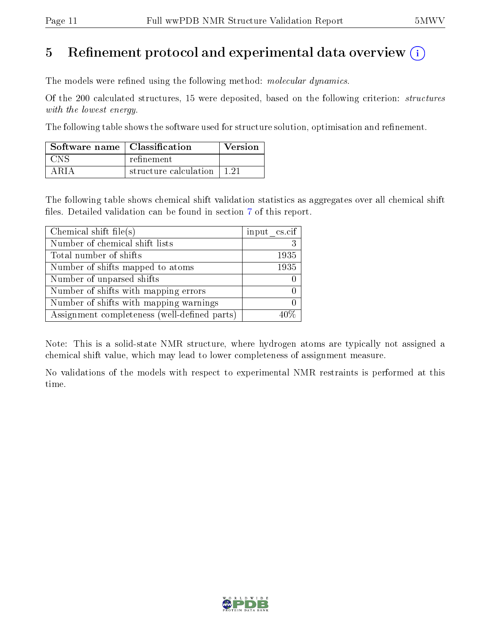# 5 Refinement protocol and experimental data overview  $\binom{1}{k}$

The models were refined using the following method: molecular dynamics.

Of the 200 calculated structures, 15 were deposited, based on the following criterion: structures with the lowest energy.

The following table shows the software used for structure solution, optimisation and refinement.

| Software name   Classification |                       | Version |
|--------------------------------|-----------------------|---------|
| <b>CNS</b>                     | refinement.           |         |
| A R I A                        | structure calculation |         |

The following table shows chemical shift validation statistics as aggregates over all chemical shift files. Detailed validation can be found in section [7](#page-16-0) of this report.

| Chemical shift file(s)                       | input cs.cif |
|----------------------------------------------|--------------|
| Number of chemical shift lists               |              |
| Total number of shifts                       | 1935         |
| Number of shifts mapped to atoms             | 1935         |
| Number of unparsed shifts                    |              |
| Number of shifts with mapping errors         |              |
| Number of shifts with mapping warnings       |              |
| Assignment completeness (well-defined parts) |              |

Note: This is a solid-state NMR structure, where hydrogen atoms are typically not assigned a chemical shift value, which may lead to lower completeness of assignment measure.

No validations of the models with respect to experimental NMR restraints is performed at this time.

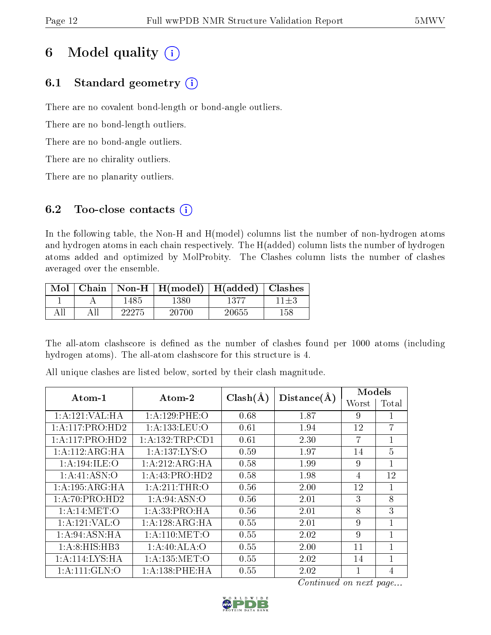# 6 Model quality  $(i)$

## 6.1 Standard geometry  $(i)$

There are no covalent bond-length or bond-angle outliers.

There are no bond-length outliers.

There are no bond-angle outliers.

There are no chirality outliers.

There are no planarity outliers.

## 6.2 Too-close contacts  $(i)$

In the following table, the Non-H and H(model) columns list the number of non-hydrogen atoms and hydrogen atoms in each chain respectively. The H(added) column lists the number of hydrogen atoms added and optimized by MolProbity. The Clashes column lists the number of clashes averaged over the ensemble.

| Mol | Chain |       | Non-H $\mid$ H(model) | H(added) | <b>Clashes</b> |
|-----|-------|-------|-----------------------|----------|----------------|
|     |       | 1485  | -380                  |          | 11±3           |
|     |       | 22275 | 20700                 | 20655    | 158            |

The all-atom clashscore is defined as the number of clashes found per 1000 atoms (including hydrogen atoms). The all-atom clashscore for this structure is 4.

| $Atom-1$           | $\boldsymbol{\mathrm{Atom}\text{-}2}$ | $Clash(\AA)$ | Distance(A) | Models |                |
|--------------------|---------------------------------------|--------------|-------------|--------|----------------|
|                    |                                       |              |             | Worst  | Total          |
| 1:A:121:VAL:HA     | 1: A: 129: PHE: O                     | 0.68         | 1.87        | 9      |                |
| 1:A:117:PRO:HD2    | 1:A:133:LEU:O                         | 0.61         | 1.94        | 12     | $\overline{7}$ |
| 1: A:117: PRO:HD2  | 1: A: 132: TRP: CD1                   | 0.61         | 2.30        | 7      | $\mathbf{1}$   |
| 1: A:112: ARG: HA  | 1:A:137:LYS:O                         | 0.59         | 1.97        | 14     | $\overline{5}$ |
| 1: A:194: ILE: O   | 1:A:212:ARG:HA                        | 0.58         | 1.99        | 9      | 1              |
| 1: A:41: ASN:O     | 1:A:43:PRO:HD2                        | 0.58         | 1.98        | 4      | 12             |
| 1: A: 195: ARG: HA | 1: A:211:THR:O                        | 0.56         | 2.00        | 12     | 1              |
| 1: A:70: PRO:HD2   | 1: A:94: ASN:O                        | 0.56         | 2.01        | 3      | 8              |
| 1: A:14: MET:O     | 1: A: 33: PRO: HA                     | 0.56         | 2.01        | 8      | 3              |
| 1:A:121:VAL:O      | 1:A:128:ARG:HA                        | 0.55         | 2.01        | 9      | $\mathbf{1}$   |
| 1: A:94: ASN: HA   | 1: A:110:MET:O                        | 0.55         | 2.02        | 9      | $\mathbf{1}$   |
| 1:A:8:HIS:HB3      | 1:A:40:ALA:O                          | 0.55         | 2.00        | 11     | 1              |
| 1:A:114:LYS:HA     | 1: A: 135: MET:O                      | 0.55         | 2.02        | 14     | $\mathbf{1}$   |
| 1: A: 111: GLN: O  | 1:A:138:PHE:HA                        | 0.55         | 2.02        |        | 4              |

All unique clashes are listed below, sorted by their clash magnitude.

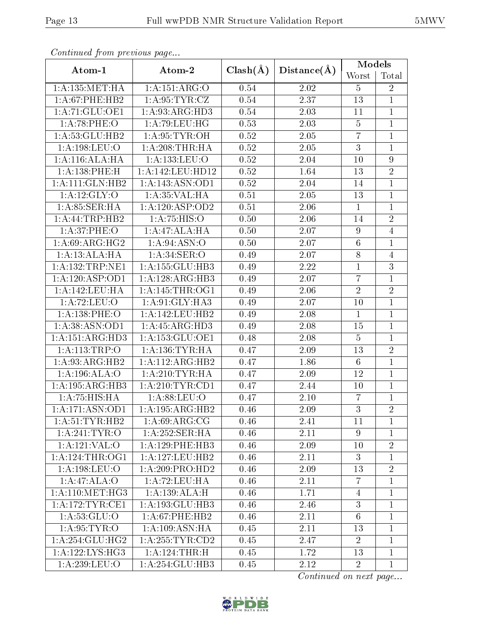| Continual from previous page |                     |              |                   | <b>Models</b>   |                  |
|------------------------------|---------------------|--------------|-------------------|-----------------|------------------|
| Atom-1                       | Atom-2              | $Clash(\AA)$ | Distance(A)       | Worst           | Total            |
| 1: A: 135: MET:HA            | 1:A:151:ARG:O       | 0.54         | 2.02              | 5               | $\sqrt{2}$       |
| 1: A:67:PHE:HB2              | 1: A:95:TYR:CZ      | 0.54         | 2.37              | 13              | $\mathbf{1}$     |
| 1: A:71: GLU:OE1             | 1:A:93:ARG:HD3      |              | 2.03              | 11              | $\mathbf{1}$     |
| 1: A:78:PHE:O                | 1: A:79: LEU: HG    | 0.53         | 2.03              | $\overline{5}$  | $\mathbf{1}$     |
| 1: A: 53: GLU: HB2           | 1: A:95:TYR:OH      | 0.52         | 2.05              | $\overline{7}$  | $\mathbf 1$      |
| 1: A: 198: LEU: O            | 1: A:208:THR:HA     | 0.52         | 2.05              | $\overline{3}$  | $\mathbf{1}$     |
| 1:A:116:ALA:HA               | 1:A:133:LEU:O       | 0.52         | 2.04              | 10              | $\boldsymbol{9}$ |
| 1:A:138:PHE:H                | 1:A:142:LEU:HD12    | 0.52         | 1.64              | 13              | $\sqrt{2}$       |
| 1:A:111:GLN:HB2              | 1: A:143: ASN:OD1   | 0.52         | 2.04              | 14              | $\overline{1}$   |
| 1:A:12:GLY:O                 | 1: A:35:VAL:HA      | 0.51         | 2.05              | 13              | $\mathbf{1}$     |
| 1: A:85: SER:H A             | 1:A:120:ASP:OD2     | 0.51         | 2.06              | $\mathbf{1}$    | $\mathbf{1}$     |
| 1:A:44:TRP:HB2               | 1:A:75:HIS:O        | 0.50         | 2.06              | 14              | $\sqrt{2}$       |
| 1: A:37:PHE:O                | 1:A:47:ALA:HA       | 0.50         | 2.07              | $\overline{9}$  | $\overline{4}$   |
| 1: A:69: ARG: HG2            | 1: A:94: ASN:O      | 0.50         | 2.07              | $\sqrt{6}$      | $\mathbf{1}$     |
| 1:A:13:ALA:HA                | 1: A:34: SER:O      | 0.49         | 2.07              | 8               | $\overline{4}$   |
| 1:A:132:TRP:NE1              | 1:A:155:GLU:HB3     | 0.49         | 2.22              | $\mathbf{1}$    | $\overline{3}$   |
| 1:A:120:ASP:OD1              | 1:A:128:ARG:HB3     | 0.49         | 2.07              | $\overline{7}$  | $\mathbf{1}$     |
| 1:A:142:LEU:HA               | 1: A:145:THR:OG1    | 0.49         | 2.06              | $\overline{2}$  | $\overline{2}$   |
| 1:A:72:LEU:O                 | 1:A:91:GLY:HA3      | 0.49         | 2.07              | 10              | $\overline{1}$   |
| 1: A: 138: PHE: O            | 1:A:142:LEU:HB2     | 0.49         | 2.08              | $\mathbf{1}$    | $\mathbf{1}$     |
| 1:A:38:ASN:OD1               | 1:A:45:ARG:HD3      | 0.49         | 2.08              | 15              | $\mathbf{1}$     |
| 1: A:151: ARG:HD3            | 1: A: 153: GLU: OE1 | 0.48         | 2.08              | $\overline{5}$  | $\mathbf{1}$     |
| 1:A:113:TRP:O                | 1: A: 136: TYR: HA  | 0.47         | 2.09              | 13              | $\overline{2}$   |
| 1:A:93:ARG:HB2               | 1:A:112:ARG:HB2     | 0.47         | 1.86              | $6\phantom{.}6$ | $\mathbf{1}$     |
| 1:A:196:ALA:O                | 1: A:210: TYR: HA   | 0.47         | 2.09              | 12              | $\mathbf{1}$     |
| 1: A: 195: ARG: HB3          | 1: A:210:TYR:CD1    | 0.47         | 2.44              | 10              | $\mathbf 1$      |
| 1:A:75:HIS:HA                | 1: A:88: LEU:O      | 0.47         | 2.10              | $\overline{7}$  | $\mathbf{1}$     |
| 1:A:171:ASN:OD1              | 1:A:195:ARG:HB2     | 0.46         | $\overline{2}.09$ | $\overline{3}$  | $\overline{2}$   |
| 1: A:51:TYR:HB2              | 1: A:69: ARG:CG     | 0.46         | 2.41              | 11              | $\mathbf{1}$     |
| 1: A:241:TYR:O               | 1: A:252: SER: HA   | 0.46         | 2.11              | 9               | $\mathbf{1}$     |
| 1:A:121:VAL:O                | 1:A:129:PHE:HB3     | 0.46         | 2.09              | 10              | $\overline{2}$   |
| 1: A:124:THR:OG1             | 1:A:127:LEU:HB2     | 0.46         | 2.11              | 3               | $\mathbf{1}$     |
| 1:A:198:LEU:O                | 1: A:209: PRO:HD2   | 0.46         | 2.09              | 13              | $\overline{2}$   |
| 1:A:47:ALA:O                 | 1:A:72:LEU:HA       | 0.46         | 2.11              | 7               | $\mathbf{1}$     |
| 1:A:110:MET:HG3              | 1:A:139:ALA:H       | 0.46         | 1.71              | 4               | $\mathbf{1}$     |
| 1: A:172:TYR:CE1             | 1:A:193:GLU:HB3     | 0.46         | 2.46              | $\overline{3}$  | $\mathbf{1}$     |
| 1: A:53: GLU:O               | $1: A:67:$ PHE:HB2  | 0.46         | 2.11              | 6               | $\mathbf{1}$     |
| 1: A:95:TYR:O                | 1:A:109:ASN:HA      | 0.45         | 2.11              | 13              | $\mathbf{1}$     |
| 1: A:254: GLU:HG2            | 1: A:255:TYR:CD2    | 0.45         | 2.47              | $\overline{2}$  | $\mathbf{1}$     |
| 1: A: 122: LYS: HG3          | 1:A:124:THR:H       | 0.45         | 1.72              | 13              | $\mathbf{1}$     |
| 1: A:239:LEU:O               | 1: A:254: GLU:HB3   | 0.45         | 2.12              | $\overline{2}$  | $\mathbf{1}$     |

Continued from previous page.

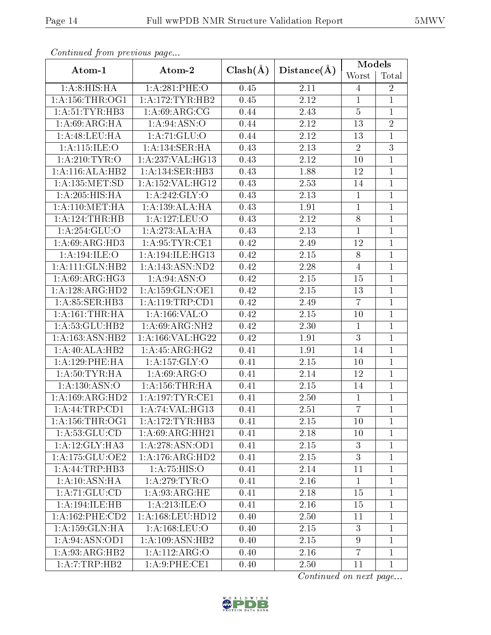| Continual from previous page |                           |              |             | <b>Models</b>  |                |
|------------------------------|---------------------------|--------------|-------------|----------------|----------------|
| Atom-1                       | Atom-2                    | $Clash(\AA)$ | Distance(A) | Worst          | Total          |
| 1: A:8: HIS: HA              | 1: A:281:PHE:O            | 0.45         | 2.11        | $\overline{4}$ | $\sqrt{2}$     |
| 1: A: 156: THR: OG1          | 1: A:172:TYR:HB2          | 0.45         | 2.12        | $\mathbf{1}$   | $\mathbf{1}$   |
| 1: A:51:TYR:HB3              | 1: A:69: ARG:CG           | 0.44         | 2.43        | $\overline{5}$ | $\mathbf 1$    |
| $1:A:69: \overline{ARG:HA}$  | $1:A:94:\overline{ASN:O}$ | 0.44         | 2.12        | 13             | $\overline{2}$ |
| 1:A:48:LEU:HA                | 1: A: 71: GLU: O          | 0.44         | 2.12        | 13             | $\mathbf{1}$   |
| 1: A:115: ILE: O             | 1:A:134:SER:HA            | 0.43         | 2.13        | $\overline{2}$ | $\overline{3}$ |
| 1: A:210: TYR:O              | 1:A:237:VAL:HG13          | 0.43         | 2.12        | 10             | $\mathbf{1}$   |
| 1:A:116:ALA:HB2              | 1:A:134:SER:HB3           | 0.43         | 1.88        | 12             | $\mathbf{1}$   |
| 1: A: 135: MET: SD           | 1:A:152:VAL:HG12          | 0.43         | 2.53        | 14             | $\overline{1}$ |
| 1: A:205: HIS: HA            | 1:A:242:GLY:O             | 0.43         | 2.13        | $\mathbf{1}$   | $\mathbf{1}$   |
| 1: A:110:MET:HA              | 1:A:139:ALA:HA            | 0.43         | 1.91        | $\mathbf{1}$   | $\mathbf{1}$   |
| 1:A:124:THR:HB               | 1:A:127:LEU:O             | 0.43         | 2.12        | $8\,$          | $\mathbf{1}$   |
| 1:A:254:GLU:O                | 1:A:273:ALA:HA            | 0.43         | 2.13        | $\mathbf{1}$   | $\mathbf{1}$   |
| 1: A:69: ARG:HD3             | 1: A:95:TYR:CE1           | 0.42         | 2.49        | 12             | $\mathbf{1}$   |
| 1:A:194:ILE:O                | 1:A:194:ILE:HG13          | 0.42         | 2.15        | 8              | $\mathbf{1}$   |
| 1: A:111: GLN:HB2            | 1:A:143:ASN:ND2           | 0.42         | 2.28        | $\overline{4}$ | $\mathbf{1}$   |
| 1: A:69: ARG: HG3            | 1: A:94: ASN:O            | 0.42         | 2.15        | 15             | $\mathbf{1}$   |
| 1:A:128:ARG:HD2              | 1: A: 159: GLN: OE1       | 0.42         | 2.15        | 13             | $\overline{1}$ |
| 1:A:85:SER:HB3               | 1: A: 119: TRP: CD1       | 0.42         | 2.49        | $\overline{7}$ | $\mathbf{1}$   |
| 1: A:161:THR:HA              | 1: A: 166: VAL: O         | 0.42         | 2.15        | 10             | $\mathbf{1}$   |
| 1:A:53:GLU:HB2               | 1: A:69: ARG: NH2         | 0.42         | 2.30        | $\mathbf{1}$   | $\mathbf{1}$   |
| 1: A: 163: ASN: HB2          | 1: A: 166: VAL:HG22       | 0.42         | 1.91        | 3              | $\mathbf 1$    |
| 1:A:40:ALA:HB2               | 1: A: 45: ARG: HG2        | 0.41         | 1.91        | 14             | $\mathbf{1}$   |
| 1: A: 129: PHE: HA           | 1:A:157:GLY:O             | 0.41         | 2.15        | 10             | $\mathbf{1}$   |
| 1: A:50:TYR:HA               | 1: A:69: ARG:O            | 0.41         | 2.14        | 12             | $\mathbf{1}$   |
| 1:A:130:ASN:O                | 1: A:156:THR:HA           | 0.41         | 2.15        | 14             | $\mathbf{1}$   |
| 1:A:169:ARG:HD2              | 1: A: 197: TYR: CE1       | 0.41         | 2.50        | $\mathbf{1}$   | $\mathbf{1}$   |
| 1:A:44:TRP:CD1               | 1:A:74:VAL:HG13           | 0.41         | 2.51        | $\overline{7}$ | $\overline{1}$ |
| 1:A:156:THR:OG1              | 1: A:172:TYR:HB3          | 0.41         | 2.15        | 10             | $\mathbf{1}$   |
| 1: A:53: GLU:CD              | 1: A:69: ARG: HH21        | 0.41         | 2.18        | 10             | $\mathbf 1$    |
| 1:A:12:GLY:HA3               | 1: A:278: ASN:OD1         | 0.41         | 2.15        | 3              | $\mathbf 1$    |
| 1: A:175: GLU:OE2            | 1:A:176:ARG:HD2           | 0.41         | 2.15        | $\overline{3}$ | $\mathbf{1}$   |
| 1:A:44:TRP:HB3               | 1:A:75:HIS:O              | 0.41         | 2.14        | 11             | $\mathbf{1}$   |
| 1:A:10:ASN:HA                | 1:A:279:TYR:O             | 0.41         | 2.16        | $\mathbf{1}$   | $\mathbf{1}$   |
| 1:A:71:GLU:CD                | 1: A:93:ARG:HE            | 0.41         | 2.18        | 15             | $\mathbf{1}$   |
| 1:A:194:ILE:HB               | 1: A:213: ILE: O          | 0.41         | 2.16        | 15             | $\mathbf{1}$   |
| 1:A:162:PHE:CD2              | 1: A: 168: LEU: HD12      | 0.40         | 2.50        | 11             | $\mathbf{1}$   |
| 1:A:159:GLN:HA               | 1:A:168:LEU:O             | 0.40         | 2.15        | 3              | $\mathbf{1}$   |
| 1: A:94: ASN: OD1            | 1:A:109:ASN:HB2           | 0.40         | 2.15        | 9              | $\mathbf{1}$   |
| 1:A:93:ARG:HB2               | 1: A: 112: ARG: O         | 0.40         | 2.16        | $\overline{7}$ | $\mathbf{1}$   |
| 1:A:7:TRP:HB2                | 1: A:9: PHE: CE1          | 0.40         | 2.50        | 11             | $\mathbf{1}$   |

Continued from previous page.

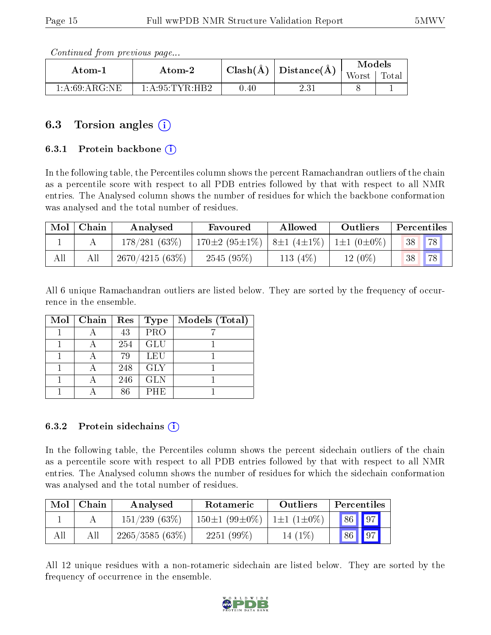Continued from previous page...

| Atom-1           | Atom-2            |          | $\lceil \operatorname{Clash}(\AA) \rceil$ Distance( $\AA$ ) | Models |                   |
|------------------|-------------------|----------|-------------------------------------------------------------|--------|-------------------|
|                  |                   |          |                                                             | Worst  | Tota <sub>1</sub> |
| 1: A:69: ARG: NE | 1: A:95: TYR: HB2 | $0.40\,$ | 2.31                                                        |        |                   |

## 6.3 Torsion angles (i)

#### 6.3.1 Protein backbone (i)

In the following table, the Percentiles column shows the percent Ramachandran outliers of the chain as a percentile score with respect to all PDB entries followed by that with respect to all NMR entries. The Analysed column shows the number of residues for which the backbone conformation was analysed and the total number of residues.

| Mol | Chain | Analysed          | Favoured                                | Allowed    | Outliers               | Percentiles |
|-----|-------|-------------------|-----------------------------------------|------------|------------------------|-------------|
|     |       | 178/281(63%)      | $170\pm2(95\pm1\%)$   8 $\pm1(4\pm1\%)$ |            | $1 \pm 1$ (0 $\pm$ 0%) | 78<br>38    |
| All |       | $2670/4215(63\%)$ | 2545(95%)                               | 113 $(4%)$ | $12(0\%)$              |             |

All 6 unique Ramachandran outliers are listed below. They are sorted by the frequency of occurrence in the ensemble.

| Mol   Chain | Res | Type       | Models (Total) |
|-------------|-----|------------|----------------|
|             | 43  | PRO        |                |
|             | 254 | GLU        |                |
|             | 79  | LEU        |                |
|             | 248 | <b>GLY</b> |                |
|             | 246 | <b>GLN</b> |                |
|             | 86  | <b>PHE</b> |                |

#### 6.3.2 Protein sidechains  $(i)$

In the following table, the Percentiles column shows the percent sidechain outliers of the chain as a percentile score with respect to all PDB entries followed by that with respect to all NMR entries. The Analysed column shows the number of residues for which the sidechain conformation was analysed and the total number of residues.

| Mol | Chain | Analysed       | Rotameric           | Outliers              | Percentiles                     |
|-----|-------|----------------|---------------------|-----------------------|---------------------------------|
|     |       | 151/239(63%)   | $150\pm1(99\pm0\%)$ | $1 \pm 1 (1 \pm 0\%)$ | $\vert 86 \vert \vert 97 \vert$ |
| All | All   | 2265/3585(63%) | $2251(99\%)$        | 14 (1\%)              | $\sqrt{86}$ $\sqrt{97}$         |

All 12 unique residues with a non-rotameric sidechain are listed below. They are sorted by the frequency of occurrence in the ensemble.

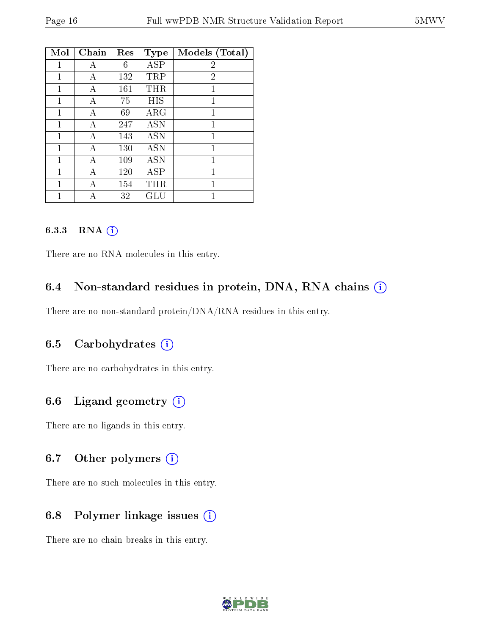| Mol | Chain | Res | <b>Type</b> | Models (Total) |
|-----|-------|-----|-------------|----------------|
| 1   | А     | 6   | <b>ASP</b>  | $\overline{2}$ |
| 1   | А     | 132 | TRP         | $\overline{2}$ |
| 1   | А     | 161 | THR         | $\mathbf{1}$   |
| 1   | Α     | 75  | HIS         | 1              |
| 1   | А     | 69  | $\rm{ARG}$  | 1              |
| 1   | А     | 247 | <b>ASN</b>  | 1              |
| 1   | Α     | 143 | <b>ASN</b>  | 1              |
| 1   | А     | 130 | <b>ASN</b>  | 1              |
| 1   | А     | 109 | <b>ASN</b>  | 1              |
| 1   | А     | 120 | ASP         | 1              |
| 1   |       | 154 | THR         | 1              |
|     |       | 32  | GLU         |                |

#### 6.3.3 RNA (i)

There are no RNA molecules in this entry.

## 6.4 Non-standard residues in protein, DNA, RNA chains  $(i)$

There are no non-standard protein/DNA/RNA residues in this entry.

## 6.5 Carbohydrates (i)

There are no carbohydrates in this entry.

## 6.6 Ligand geometry (i)

There are no ligands in this entry.

## 6.7 [O](https://www.wwpdb.org/validation/2017/NMRValidationReportHelp#nonstandard_residues_and_ligands)ther polymers  $(i)$

There are no such molecules in this entry.

## 6.8 Polymer linkage issues (i)

There are no chain breaks in this entry.

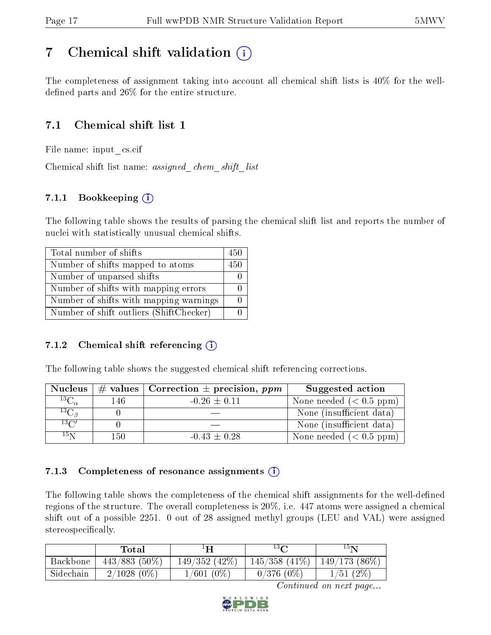# <span id="page-16-0"></span>7 Chemical shift validation  $\left( \begin{array}{c} \overline{1} \end{array} \right)$

The completeness of assignment taking into account all chemical shift lists is 40% for the welldefined parts and  $26\%$  for the entire structure.

## 7.1 Chemical shift list 1

File name: input\_cs.cif

Chemical shift list name: assigned\_chem\_shift\_list

## 7.1.1 Bookkeeping (i)

The following table shows the results of parsing the chemical shift list and reports the number of nuclei with statistically unusual chemical shifts.

| Total number of shifts                  | 450 |
|-----------------------------------------|-----|
| Number of shifts mapped to atoms        | 450 |
| Number of unparsed shifts               |     |
| Number of shifts with mapping errors    |     |
| Number of shifts with mapping warnings  |     |
| Number of shift outliers (ShiftChecker) |     |

## 7.1.2 Chemical shift referencing  $(i)$

The following table shows the suggested chemical shift referencing corrections.

| <b>Nucleus</b>                        |      | $\#$ values   Correction $\pm$ precision, ppm | Suggested action         |
|---------------------------------------|------|-----------------------------------------------|--------------------------|
| $^{13}\overline{\mathrm{C}_{\alpha}}$ | 146. | $-0.26 \pm 0.11$                              | None needed $(0.5 ppm)$  |
| ${}^{13}C_{\beta}$                    |      |                                               | None (insufficient data) |
| $13\text{C}$                          |      |                                               | None (insufficient data) |
| $15\,\mathrm{N}$                      | 150  | $-0.43 \pm 0.28$                              | None needed $(0.5 ppm)$  |

## 7.1.3 Completeness of resonance assignments  $(i)$

The following table shows the completeness of the chemical shift assignments for the well-defined regions of the structure. The overall completeness is 20%, i.e. 447 atoms were assigned a chemical shift out of a possible 2251. 0 out of 28 assigned methyl groups (LEU and VAL) were assigned stereospecifically.

|           | Total           |                  | $13\Omega$         | $15\mathrm{N}$  |
|-----------|-----------------|------------------|--------------------|-----------------|
| Backbone  | $443/883(50\%)$ | $149/352$ (42\%) | $145/358$ $(41\%)$ | $149/173(86\%)$ |
| Sidechain | $2/1028(0\%)$   | $1/601(0\%)$     | $0/376(0\%)$       | 1/51(2%)        |

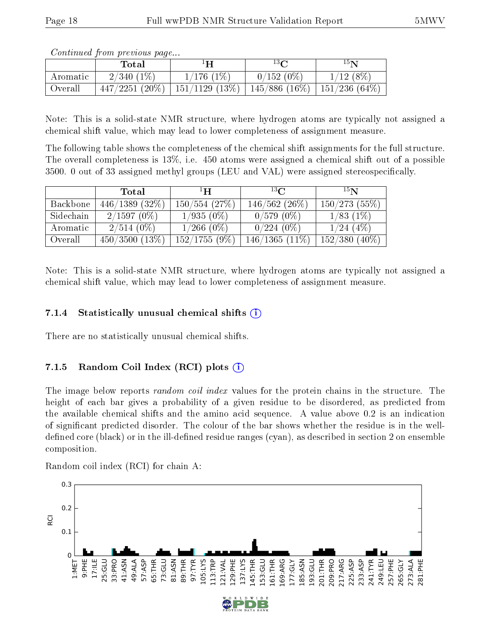Continued from previous page...

|          | Total            | Н              | $13\Omega$                    | $15\mathrm{N}$ |
|----------|------------------|----------------|-------------------------------|----------------|
| Aromatic | $2/340(1\%)$     | $1/176$ $(1%)$ | $0/152(0\%)$                  | $1/12(8\%)$    |
| Overall  | $447/2251(20\%)$ | 151/1129 (13%) | 145/886 (16%)   151/236 (64%) |                |

Note: This is a solid-state NMR structure, where hydrogen atoms are typically not assigned a chemical shift value, which may lead to lower completeness of assignment measure.

The following table shows the completeness of the chemical shift assignments for the full structure. The overall completeness is 13%, i.e. 450 atoms were assigned a chemical shift out of a possible  $3500.$  0 out of 33 assigned methyl groups (LEU and VAL) were assigned stereospecifically.

|           | Total         | $\mathbf{H}^{\perp}$ | 13 <sub>C</sub>  | 15 <sub>N</sub> |
|-----------|---------------|----------------------|------------------|-----------------|
| Backbone  | 446/1389(32%) | $150/554$ (27\%)     | $146/562(26\%)$  | 150/273(55%)    |
| Sidechain | $2/1597(0\%)$ | $1/935(0\%)$         | $0/579(0\%)$     | 1/83(1%)        |
| Aromatic  | $2/514(0\%)$  | $1/266$ (0\%)        | $0/224(0\%)$     | $1/24$ (4\%)    |
| Overall   | 450/3500(13%) | 152/1755(9%)         | $146/1365(11\%)$ | $152/380(40\%)$ |

Note: This is a solid-state NMR structure, where hydrogen atoms are typically not assigned a chemical shift value, which may lead to lower completeness of assignment measure.

#### 7.1.4 Statistically unusual chemical shifts  $(i)$

There are no statistically unusual chemical shifts.

## 7.1.5 Random Coil Index  $(RCI)$  plots  $\widehat{I}$

The image below reports *random coil index* values for the protein chains in the structure. The height of each bar gives a probability of a given residue to be disordered, as predicted from the available chemical shifts and the amino acid sequence. A value above 0.2 is an indication of signicant predicted disorder. The colour of the bar shows whether the residue is in the welldefined core (black) or in the ill-defined residue ranges (cyan), as described in section 2 on ensemble composition.

Random coil index (RCI) for chain A:

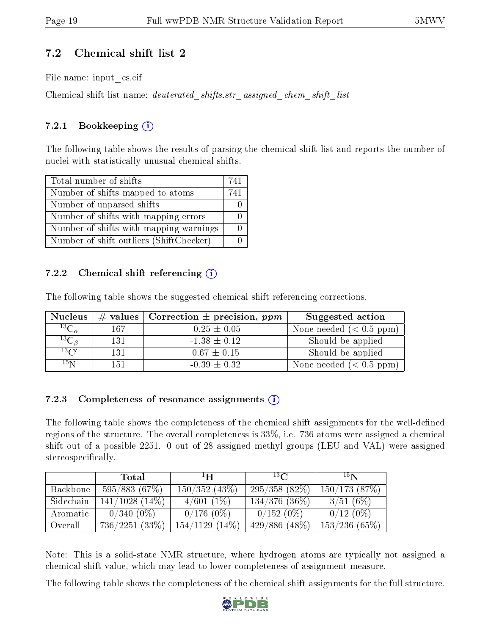## 7.2 Chemical shift list 2

File name: input\_cs.cif

Chemical shift list name: deuterated\_shifts.str\_assigned\_chem\_shift\_list

## 7.2.1 Bookkeeping  $(i)$

The following table shows the results of parsing the chemical shift list and reports the number of nuclei with statistically unusual chemical shifts.

| Total number of shifts                  | 741 |
|-----------------------------------------|-----|
| Number of shifts mapped to atoms        | 741 |
| Number of unparsed shifts               |     |
| Number of shifts with mapping errors    |     |
| Number of shifts with mapping warnings  |     |
| Number of shift outliers (ShiftChecker) |     |

## 7.2.2 Chemical shift referencing  $(i)$

The following table shows the suggested chemical shift referencing corrections.

| <b>Nucleus</b>                    |     | # values   Correction $\pm$ precision, ppm | Suggested action        |
|-----------------------------------|-----|--------------------------------------------|-------------------------|
| $^{13}\overline{\text{C}}_\alpha$ | 167 | $-0.25 \pm 0.05$                           | None needed $(0.5 ppm)$ |
| ${}^{13}C_{\beta}$                | 131 | $-1.38 \pm 0.12$                           | Should be applied       |
| $13\text{C}$                      | 131 | $0.67 \pm 0.15$                            | Should be applied       |
| 15 <sub>N</sub>                   | 151 | $-0.39 \pm 0.32$                           | None needed $(0.5 ppm)$ |

## 7.2.3 Completeness of resonance assignments  $(i)$

The following table shows the completeness of the chemical shift assignments for the well-defined regions of the structure. The overall completeness is 33%, i.e. 736 atoms were assigned a chemical shift out of a possible 2251. 0 out of 28 assigned methyl groups (LEU and VAL) were assigned stereospecifically.

|           | Total               | $\mathbf{H}^1$   | $^{13}C$         | 15 <sub>N</sub> |
|-----------|---------------------|------------------|------------------|-----------------|
| Backbone  | 595/883(67%)        | $150/352(43\%)$  | 295/358(82%)     | 150/173(87%)    |
| Sidechain | $141/1028$ $(14\%)$ | $4/601(1\%)$     | $134/376$ (36\%) | 3/51(6%)        |
| Aromatic  | $0/340(0\%)$        | $0/176(0\%)$     | $0/152(0\%)$     | $0/12(0\%)$     |
| Overall   | 736/2251(33%)       | $154/1129(14\%)$ | $429/886(48\%)$  | 153/236(65%)    |

Note: This is a solid-state NMR structure, where hydrogen atoms are typically not assigned a chemical shift value, which may lead to lower completeness of assignment measure.

The following table shows the completeness of the chemical shift assignments for the full structure.

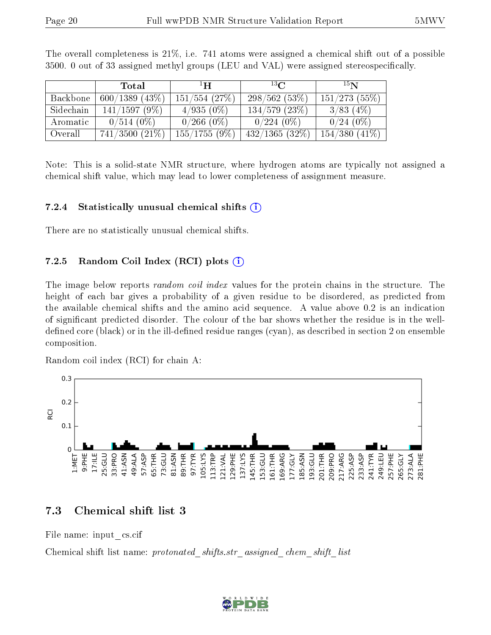|           | Total               | $\mathbf{H}^1$   | $13\Omega$       | 15 <sub>N</sub>    |
|-----------|---------------------|------------------|------------------|--------------------|
| Backbone  | $600/1389$ (43\%)   | $151/554$ (27\%) | 298/562(53%)     | 151/273(55%)       |
| Sidechain | 141/1597(9%)        | $4/935(0\%)$     | $134/579$ (23\%) | $3/83$ (4\%)       |
| Aromatic  | $0/514(0\%)$        | $0/266(0\%)$     | $0/224(0\%)$     | $0/24(0\%)$        |
| Overall   | $741/3500$ $(21\%)$ | 155/1755(9%)     | 432/1365(32%)    | $154/380$ $(41\%)$ |

The overall completeness is 21%, i.e. 741 atoms were assigned a chemical shift out of a possible  $3500.$  0 out of 33 assigned methyl groups (LEU and VAL) were assigned stereospecifically.

Note: This is a solid-state NMR structure, where hydrogen atoms are typically not assigned a chemical shift value, which may lead to lower completeness of assignment measure.

#### 7.2.4 Statistically unusual chemical shifts  $(i)$

There are no statistically unusual chemical shifts.

#### 7.2.5 Random Coil Index  $(RCI)$  plots  $\widehat{I}$

The image below reports *random coil index* values for the protein chains in the structure. The height of each bar gives a probability of a given residue to be disordered, as predicted from the available chemical shifts and the amino acid sequence. A value above 0.2 is an indication of signicant predicted disorder. The colour of the bar shows whether the residue is in the welldefined core (black) or in the ill-defined residue ranges (cyan), as described in section 2 on ensemble composition.

Random coil index (RCI) for chain A:



## 7.3 Chemical shift list 3

File name: input\_cs.cif

Chemical shift list name: protonated shifts.str assigned chem shift list

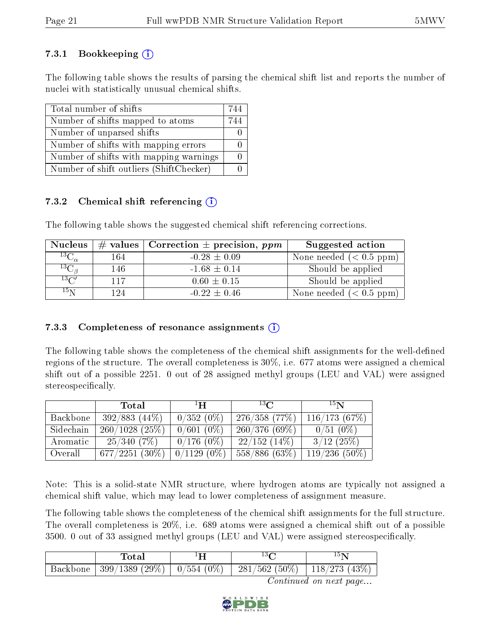## 7.3.1 Bookkeeping  $(i)$

The following table shows the results of parsing the chemical shift list and reports the number of nuclei with statistically unusual chemical shifts.

| Total number of shifts                  | 744 |
|-----------------------------------------|-----|
| Number of shifts mapped to atoms        | 744 |
| Number of unparsed shifts               |     |
| Number of shifts with mapping errors    |     |
| Number of shifts with mapping warnings  |     |
| Number of shift outliers (ShiftChecker) |     |

## 7.3.2 Chemical shift referencing  $(i)$

The following table shows the suggested chemical shift referencing corrections.

| <b>Nucleus</b>               |      | # values   Correction $\pm$ precision, ppm | Suggested action        |
|------------------------------|------|--------------------------------------------|-------------------------|
| ${}^{13}C_{\alpha}$          | 164  | $-0.28 \pm 0.09$                           | None needed $(0.5 ppm)$ |
| ${}^{13}\bar{\rm C}_{\beta}$ | 146  | $-1.68 \pm 0.14$                           | Should be applied       |
| $^{13}C'$                    | 117  | $0.60 \pm 0.15$                            | Should be applied       |
| $15\,\mathrm{N}$             | 1 94 | $-0.22 \pm 0.46$                           | None needed $(0.5 ppm)$ |

## 7.3.3 Completeness of resonance assignments  $\overline{1}$

The following table shows the completeness of the chemical shift assignments for the well-defined regions of the structure. The overall completeness is 30%, i.e. 677 atoms were assigned a chemical shift out of a possible 2251. 0 out of 28 assigned methyl groups (LEU and VAL) were assigned stereospecifically.

|           | Total             | $\mathbf{H}$  | $^{13}$ $\Omega$ | 15 <sub>N</sub> |
|-----------|-------------------|---------------|------------------|-----------------|
| Backbone  | $392/883(44\%)$   | $0/352(0\%)$  | 276/358(77%)     | 116/173(67%)    |
| Sidechain | $260/1028$ (25\%) | $0/601(0\%)$  | 260/376(69%)     | $0/51(0\%)$     |
| Aromatic  | 25/340(7%)        | $0/176(0\%)$  | 22/152(14%)      | 3/12(25%)       |
| Overall   | $677/2251(30\%)$  | $0/1129(0\%)$ | $558/886(63\%)$  | $119/236(50\%)$ |

Note: This is a solid-state NMR structure, where hydrogen atoms are typically not assigned a chemical shift value, which may lead to lower completeness of assignment measure.

The following table shows the completeness of the chemical shift assignments for the full structure. The overall completeness is 20%, i.e. 689 atoms were assigned a chemical shift out of a possible  $3500.$  0 out of 33 assigned methyl groups (LEU and VAL) were assigned stereospecifically.

|          | `otar                         |                          |               |
|----------|-------------------------------|--------------------------|---------------|
| Backbone | $399/1389$ (29%)   0/554 (0%) | $(562 (50\%)$<br>$-281/$ | 118/273 (43%) |